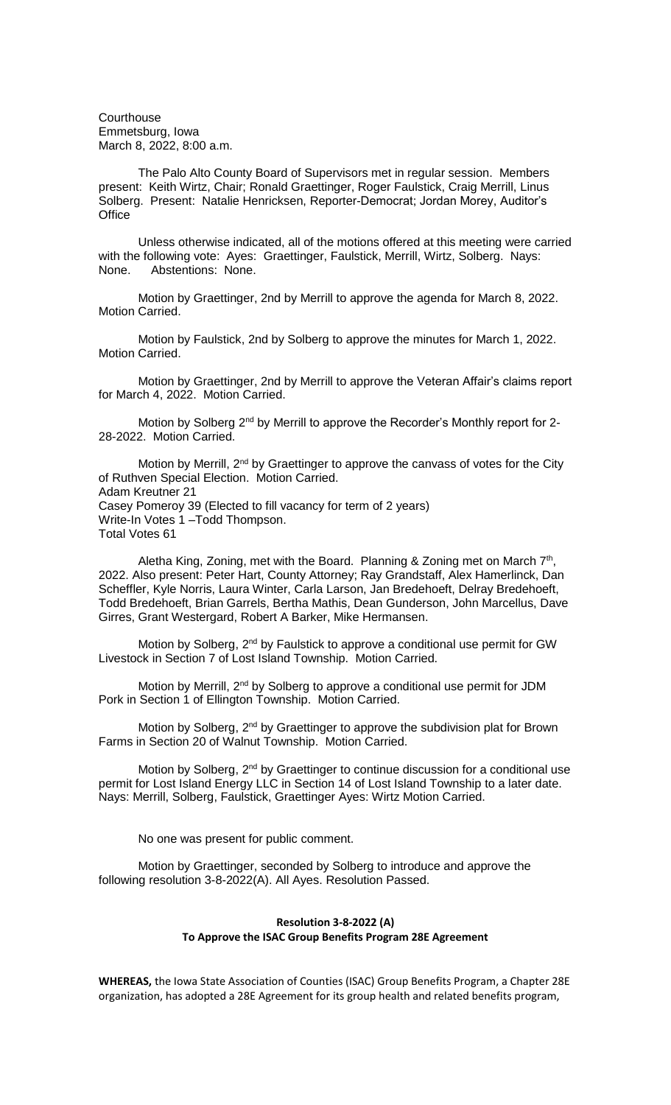**Courthouse** Emmetsburg, Iowa March 8, 2022, 8:00 a.m.

The Palo Alto County Board of Supervisors met in regular session. Members present: Keith Wirtz, Chair; Ronald Graettinger, Roger Faulstick, Craig Merrill, Linus Solberg. Present: Natalie Henricksen, Reporter-Democrat; Jordan Morey, Auditor's **Office** 

Unless otherwise indicated, all of the motions offered at this meeting were carried with the following vote: Ayes: Graettinger, Faulstick, Merrill, Wirtz, Solberg. Nays: None. Abstentions: None.

Motion by Graettinger, 2nd by Merrill to approve the agenda for March 8, 2022. Motion Carried.

Motion by Faulstick, 2nd by Solberg to approve the minutes for March 1, 2022. Motion Carried.

Motion by Graettinger, 2nd by Merrill to approve the Veteran Affair's claims report for March 4, 2022. Motion Carried.

Motion by Solberg 2<sup>nd</sup> by Merrill to approve the Recorder's Monthly report for 2-28-2022. Motion Carried.

Motion by Merrill, 2<sup>nd</sup> by Graettinger to approve the canvass of votes for the City of Ruthven Special Election. Motion Carried. Adam Kreutner 21 Casey Pomeroy 39 (Elected to fill vacancy for term of 2 years) Write-In Votes 1 –Todd Thompson. Total Votes 61

Aletha King, Zoning, met with the Board. Planning & Zoning met on March  $7<sup>th</sup>$ , 2022. Also present: Peter Hart, County Attorney; Ray Grandstaff, Alex Hamerlinck, Dan Scheffler, Kyle Norris, Laura Winter, Carla Larson, Jan Bredehoeft, Delray Bredehoeft, Todd Bredehoeft, Brian Garrels, Bertha Mathis, Dean Gunderson, John Marcellus, Dave Girres, Grant Westergard, Robert A Barker, Mike Hermansen.

Motion by Solberg,  $2<sup>nd</sup>$  by Faulstick to approve a conditional use permit for GW Livestock in Section 7 of Lost Island Township. Motion Carried.

Motion by Merrill, 2<sup>nd</sup> by Solberg to approve a conditional use permit for JDM Pork in Section 1 of Ellington Township. Motion Carried.

Motion by Solberg, 2<sup>nd</sup> by Graettinger to approve the subdivision plat for Brown Farms in Section 20 of Walnut Township. Motion Carried.

Motion by Solberg, 2<sup>nd</sup> by Graettinger to continue discussion for a conditional use permit for Lost Island Energy LLC in Section 14 of Lost Island Township to a later date. Nays: Merrill, Solberg, Faulstick, Graettinger Ayes: Wirtz Motion Carried.

No one was present for public comment.

Motion by Graettinger, seconded by Solberg to introduce and approve the following resolution 3-8-2022(A). All Ayes. Resolution Passed.

## **Resolution 3-8-2022 (A) To Approve the ISAC Group Benefits Program 28E Agreement**

**WHEREAS,** the Iowa State Association of Counties (ISAC) Group Benefits Program, a Chapter 28E organization, has adopted a 28E Agreement for its group health and related benefits program,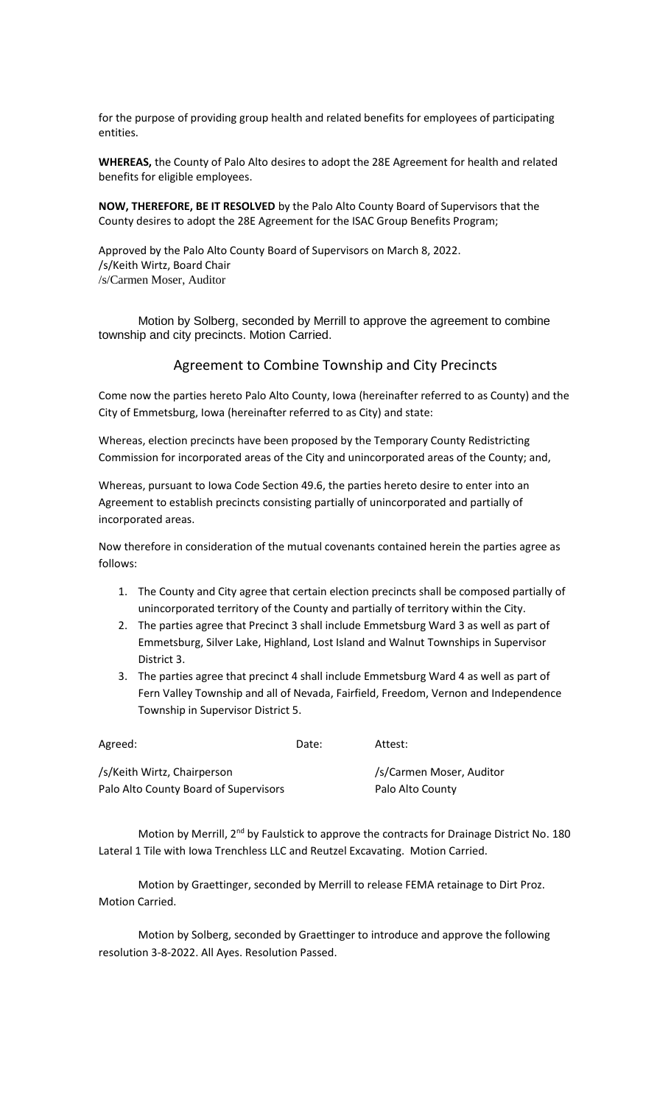for the purpose of providing group health and related benefits for employees of participating entities.

**WHEREAS,** the County of Palo Alto desires to adopt the 28E Agreement for health and related benefits for eligible employees.

**NOW, THEREFORE, BE IT RESOLVED** by the Palo Alto County Board of Supervisors that the County desires to adopt the 28E Agreement for the ISAC Group Benefits Program;

Approved by the Palo Alto County Board of Supervisors on March 8, 2022. /s/Keith Wirtz, Board Chair /s/Carmen Moser, Auditor

Motion by Solberg, seconded by Merrill to approve the agreement to combine township and city precincts. Motion Carried.

## Agreement to Combine Township and City Precincts

Come now the parties hereto Palo Alto County, Iowa (hereinafter referred to as County) and the City of Emmetsburg, Iowa (hereinafter referred to as City) and state:

Whereas, election precincts have been proposed by the Temporary County Redistricting Commission for incorporated areas of the City and unincorporated areas of the County; and,

Whereas, pursuant to Iowa Code Section 49.6, the parties hereto desire to enter into an Agreement to establish precincts consisting partially of unincorporated and partially of incorporated areas.

Now therefore in consideration of the mutual covenants contained herein the parties agree as follows:

- 1. The County and City agree that certain election precincts shall be composed partially of unincorporated territory of the County and partially of territory within the City.
- 2. The parties agree that Precinct 3 shall include Emmetsburg Ward 3 as well as part of Emmetsburg, Silver Lake, Highland, Lost Island and Walnut Townships in Supervisor District 3.
- 3. The parties agree that precinct 4 shall include Emmetsburg Ward 4 as well as part of Fern Valley Township and all of Nevada, Fairfield, Freedom, Vernon and Independence Township in Supervisor District 5.

| Agreed:                               | Date: | Attest:                  |
|---------------------------------------|-------|--------------------------|
| /s/Keith Wirtz, Chairperson           |       | /s/Carmen Moser, Auditor |
| Palo Alto County Board of Supervisors |       | Palo Alto County         |

Motion by Merrill, 2<sup>nd</sup> by Faulstick to approve the contracts for Drainage District No. 180 Lateral 1 Tile with Iowa Trenchless LLC and Reutzel Excavating. Motion Carried.

Motion by Graettinger, seconded by Merrill to release FEMA retainage to Dirt Proz. Motion Carried.

Motion by Solberg, seconded by Graettinger to introduce and approve the following resolution 3-8-2022. All Ayes. Resolution Passed.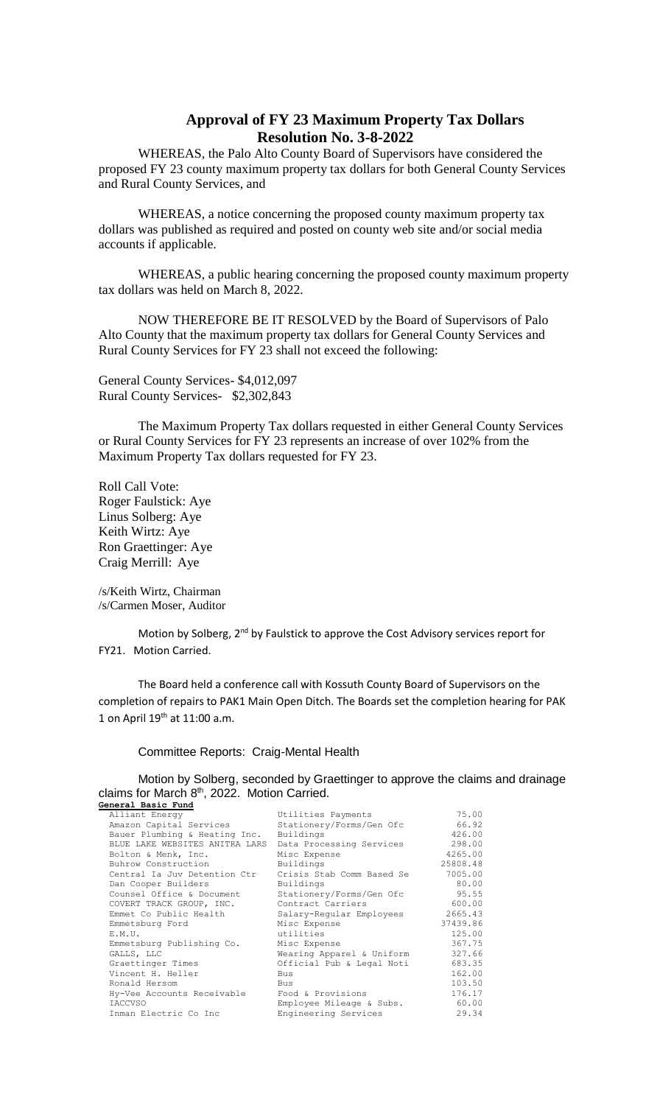## **Approval of FY 23 Maximum Property Tax Dollars Resolution No. 3-8-2022**

WHEREAS, the Palo Alto County Board of Supervisors have considered the proposed FY 23 county maximum property tax dollars for both General County Services and Rural County Services, and

WHEREAS, a notice concerning the proposed county maximum property tax dollars was published as required and posted on county web site and/or social media accounts if applicable.

WHEREAS, a public hearing concerning the proposed county maximum property tax dollars was held on March 8, 2022.

NOW THEREFORE BE IT RESOLVED by the Board of Supervisors of Palo Alto County that the maximum property tax dollars for General County Services and Rural County Services for FY 23 shall not exceed the following:

General County Services- \$4,012,097 Rural County Services- \$2,302,843

The Maximum Property Tax dollars requested in either General County Services or Rural County Services for FY 23 represents an increase of over 102% from the Maximum Property Tax dollars requested for FY 23.

Roll Call Vote: Roger Faulstick: Aye Linus Solberg: Aye Keith Wirtz: Aye Ron Graettinger: Aye Craig Merrill: Aye

/s/Keith Wirtz, Chairman /s/Carmen Moser, Auditor

Motion by Solberg, 2<sup>nd</sup> by Faulstick to approve the Cost Advisory services report for FY21. Motion Carried.

The Board held a conference call with Kossuth County Board of Supervisors on the completion of repairs to PAK1 Main Open Ditch. The Boards set the completion hearing for PAK 1 on April  $19^{th}$  at  $11:00$  a.m.

## Committee Reports: Craig-Mental Health

Motion by Solberg, seconded by Graettinger to approve the claims and drainage claims for March  $8<sup>th</sup>$ , 2022. Motion Carried. **General Basic Fund**

| Alliant Energy                 | Utilities Payments        | 75.00    |
|--------------------------------|---------------------------|----------|
| Amazon Capital Services        | Stationery/Forms/Gen Ofc  | 66.92    |
| Bauer Plumbing & Heating Inc.  | Buildings                 | 426.00   |
| BLUE LAKE WEBSITES ANITRA LARS | Data Processing Services  | 298.00   |
| Bolton & Menk, Inc.            | Misc Expense              | 4265.00  |
| Buhrow Construction            | Buildings                 | 25808.48 |
| Central Ia Juv Detention Ctr   | Crisis Stab Comm Based Se | 7005.00  |
| Dan Cooper Builders            | Buildings                 | 80.00    |
| Counsel Office & Document      | Stationery/Forms/Gen Ofc  | 95.55    |
| COVERT TRACK GROUP, INC.       | Contract Carriers         | 600.00   |
| Emmet Co Public Health         | Salary-Regular Employees  | 2665.43  |
| Emmetsburg Ford                | Misc Expense              | 37439.86 |
| E.M.U.                         | utilities                 | 125.00   |
| Emmetsburg Publishing Co.      | Misc Expense              | 367.75   |
| GALLS, LLC                     | Wearing Apparel & Uniform | 327.66   |
| Graettinger Times              | Official Pub & Legal Noti | 683.35   |
| Vincent H. Heller              | <b>Bus</b>                | 162.00   |
| Ronald Hersom                  | Bus                       | 103.50   |
| Hy-Vee Accounts Receivable     | Food & Provisions         | 176.17   |
| <b>IACCVSO</b>                 | Employee Mileage & Subs.  | 60.00    |
| Inman Electric Co Inc          | Engineering Services      | 29.34    |
|                                |                           |          |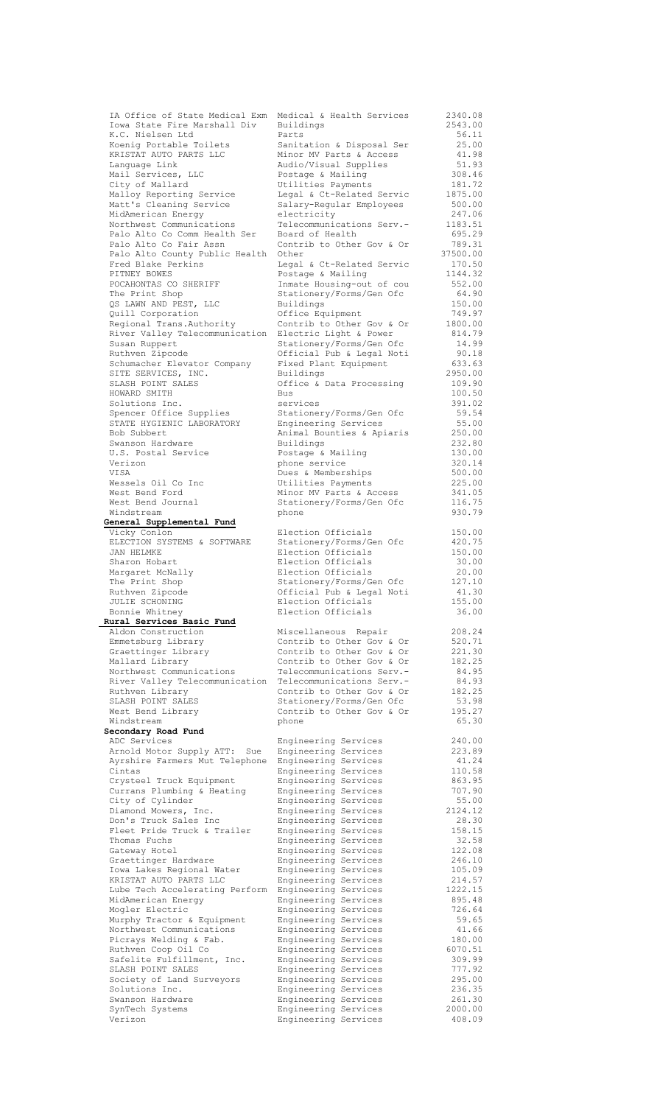**General Supplemental Fund Rural Services Basic Fund Secondary Road Fund** external Engineering Services Gateway Hotel **Engineering** Services Verizon Engineering Services 408.09

IA Office of State Medical Exm Medical & Health Services 2340.08<br>Iowa State Fire Marshall Div Buildings 2543.00<br>K.C. Nielsen Ltd Parts 56.11 Iowa State Fire Marshall Div Buildings 2543.00 K.C. Nielsen Ltd Parts 56.11 Koenig Portable Toilets Sanitation & Disposal Ser 25.00 KRISTAT AUTO PARTS LLC Minor MV Parts & Access 41.98 Language Link Audio/Visual Supplies 51.93 Mail Services, LLC **Bridge & Mailing** 308.46 City of Mallard Utilities Payments 181.72 Malloy Reporting Service Legal & Ct-Related Servic 1875.00 Matt's Cleaning Service Salary-Regular Employees 500.00 MidAmerican Energy electricity 247.06 Northwest Communications Telecommunications Serv.- 1183.51 Palo Alto Co Comm Health Ser Board of Health 695.29 Palo Alto Co Fair Assn **Contrib to Other Gov & Or** 789.31 Palo Alto County Public Health Other 37500.00 Fred Blake Perkins Legal & Ct-Related Servic 170.50 PITNEY BOWES **POSTAGE BOOKERS** POSTAGE & Mailing 1144.32 POCAHONTAS CO SHERIFF **Inmate Housing-out of cou** 552.00 The Print Shop Stationery/Forms/Gen Ofc 64.90 QS LAWN AND PEST, LLC Buildings 150.00 Quill Corporation Office Equipment 749.97 Regional Trans.Authority Contrib to Other Gov & Or 1800.00 River Valley Telecommunication Electric Light & Power 814.79 Susan Ruppert Stationery/Forms/Gen Ofc 14.99 Ruthven Zipcode Official Pub & Legal Noti 90.18 Schumacher Elevator Company Fixed Plant Equipment 633.63 SITE SERVICES, INC. Buildings 2950.00 SLASH POINT SALES **Office & Data Processing** 109.90 HOWARD SMITH Bus 100.50 Solutions Inc. services 391.02 Spencer Office Supplies Stationery/Forms/Gen Ofc 59.54 STATE HYGIENIC LABORATORY Engineering Services 55.00 Bob Subbert **Animal Bounties & Apiaris** 250.00 Swanson Hardware Buildings 232.80 U.S. Postal Service **Postage & Mailing 130.00**  Verizon phone service 320.14 VISA Dues & Memberships 500.00 Wessels Oil Co Inc **Detaillack** Utilities Payments 225.00 West Bend Ford Minor MV Parts & Access 341.05 West Bend Journal Stationery/Forms/Gen Ofc 116.75 Windstream phone 930.79 Vicky Conlon Election Officials 150.00 ELECTION SYSTEMS & SOFTWARE Stationery/Forms/Gen Ofc 420.75<br>
JAN HELMKE Election Officials 150.00<br>
Sharon Hobart Election Officials 150.00<br>
Margaret McNally Election Officials 20.00<br>
The Print Shop Stationery/Forms/Gen Ofc JAN HELMKE Election Officials 150.00 Sharon Hobart **Election Officials** 30.00 Margaret McNally Election Officials 20.00 The Print Shop Stationery/Forms/Gen Ofc 127.10 Ruthven Zipcode Official Pub & Legal Noti 41.30 JULIE SCHONING Election Officials 155.00 Bonnie Whitney Election Officials 36.00 Aldon Construction Miscellaneous Repair 208.24 Emmetsburg Library Contrib to Other Gov & Or 520.71 Graettinger Library Contrib to Other Gov & Or 221.30 Mallard Library **Contribution** Contribution Comes Contribution Communication Mallard 182.25 Northwest Communications Telecommunications Serv.- 84.95 River Valley Telecommunication Telecommunications Serv.- 84.93 Ruthven Library Contrib to Other Gov & Or 182.25 SLASH POINT SALES Stationery/Forms/Gen Ofc 53.98 West Bend Library **Contributo** Contribution Comer Gov & Or 195.27 Windstream phone 65.30 ADC Services Engineering Services 240.00 Arnold Motor Supply ATT: Sue Engineering Services 223.89 Ayrshire Farmers Mut Telephone Engineering Services 41.24 Crysteel Truck Equipment Engineering Services 863.95 Currans Plumbing & Heating Engineering Services 707.90 City of Cylinder Engineering Services 55.00 Diamond Mowers, Inc. Engineering Services 2124.12 Don's Truck Sales Inc Engineering Services 28.30 Fleet Pride Truck & Trailer Engineering Services 158.15 Thomas Fuchs Engineering Services 32.58 Graettinger Hardware **Engineering Services** 246.10 Graectinger Hardware and Engineering Services 246.10<br>
Iowa Lakes Regional Water Bogineering Services 105.09<br>
KRISTAT AUTO PARTS LLC Engineering Services 214.57 KRISTAT AUTO PARTS LLC Engineering Services 214.57 Lube Tech Accelerating Perform Engineering Services 1222.15 MidAmerican Energy Engineering Services 895.48 Mogler Electric **Engineering Services** 726.64 Murphy Tractor & Equipment Engineering Services 59.65 Northwest Communications Engineering Services 41.66 Picrays Welding & Fab. Engineering Services 180.00 Ruthven Coop Oil Co Engineering Services 6070.51 Safelite Fulfillment, Inc.<br>SLASH POINT SALES<br>Engineering Services 777.92 SLASH POINT SALES Engineering Services 777.92 Society of Land Surveyors Engineering Services 295.00 Solutions Inc. Engineering Services 236.35 Swanson Hardware Engineering Services 261.30<br>SynTech Systems Engineering Services 2000.00 Engineering Services